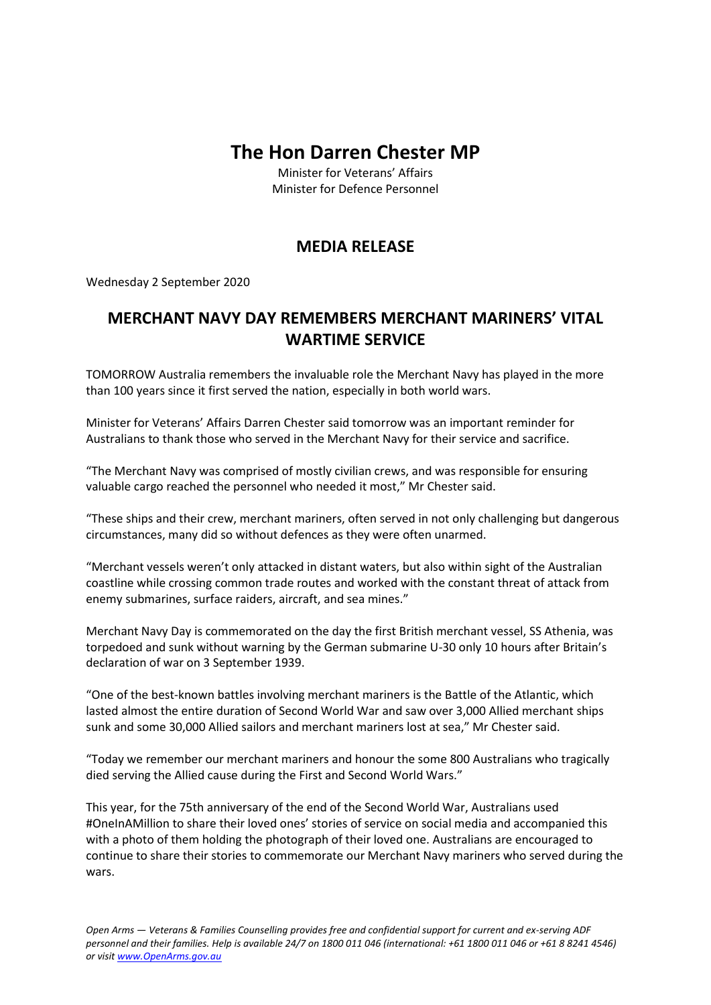## **The Hon Darren Chester MP**

Minister for Veterans' Affairs Minister for Defence Personnel

## **MEDIA RELEASE**

Wednesday 2 September 2020

## **MERCHANT NAVY DAY REMEMBERS MERCHANT MARINERS' VITAL WARTIME SERVICE**

TOMORROW Australia remembers the invaluable role the Merchant Navy has played in the more than 100 years since it first served the nation, especially in both world wars.

Minister for Veterans' Affairs Darren Chester said tomorrow was an important reminder for Australians to thank those who served in the Merchant Navy for their service and sacrifice.

"The Merchant Navy was comprised of mostly civilian crews, and was responsible for ensuring valuable cargo reached the personnel who needed it most," Mr Chester said.

"These ships and their crew, merchant mariners, often served in not only challenging but dangerous circumstances, many did so without defences as they were often unarmed.

"Merchant vessels weren't only attacked in distant waters, but also within sight of the Australian coastline while crossing common trade routes and worked with the constant threat of attack from enemy submarines, surface raiders, aircraft, and sea mines."

Merchant Navy Day is commemorated on the day the first British merchant vessel, SS Athenia, was torpedoed and sunk without warning by the German submarine U-30 only 10 hours after Britain's declaration of war on 3 September 1939.

"One of the best-known battles involving merchant mariners is the Battle of the Atlantic, which lasted almost the entire duration of Second World War and saw over 3,000 Allied merchant ships sunk and some 30,000 Allied sailors and merchant mariners lost at sea," Mr Chester said.

"Today we remember our merchant mariners and honour the some 800 Australians who tragically died serving the Allied cause during the First and Second World Wars."

This year, for the 75th anniversary of the end of the Second World War, Australians used #OneInAMillion to share their loved ones' stories of service on social media and accompanied this with a photo of them holding the photograph of their loved one. Australians are encouraged to continue to share their stories to commemorate our Merchant Navy mariners who served during the wars.

*Open Arms — Veterans & Families Counselling provides free and confidential support for current and ex-serving ADF personnel and their families. Help is available 24/7 on 1800 011 046 (international: +61 1800 011 046 or +61 8 8241 4546) or visi[t www.OpenArms.gov.au](http://www.openarms.gov.au/)*